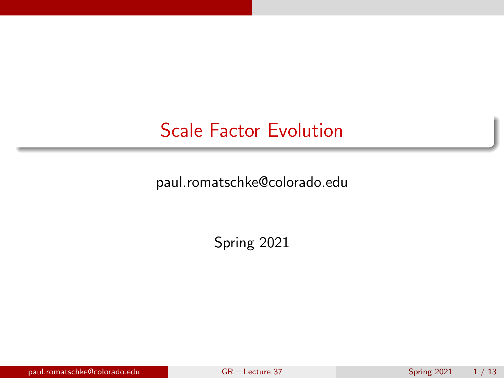## <span id="page-0-0"></span>Scale Factor Evolution

paul.romatschke@colorado.edu

Spring 2021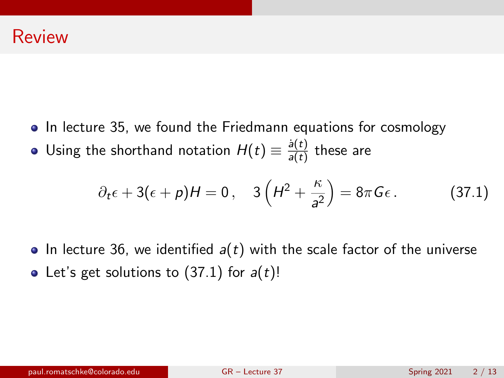- In lecture 35, we found the Friedmann equations for cosmology
- Using the shorthand notation  $H(t) \equiv \frac{\dot{a}(t)}{a(t)}$  $\frac{d(t)}{a(t)}$  these are

<span id="page-1-0"></span>
$$
\partial_t \epsilon + 3(\epsilon + p)H = 0
$$
,  $3\left(H^2 + \frac{\kappa}{a^2}\right) = 8\pi G\epsilon$ . (37.1)

• In lecture 36, we identified  $a(t)$  with the scale factor of the universe • Let's get solutions to  $(37.1)$  for  $a(t)$ !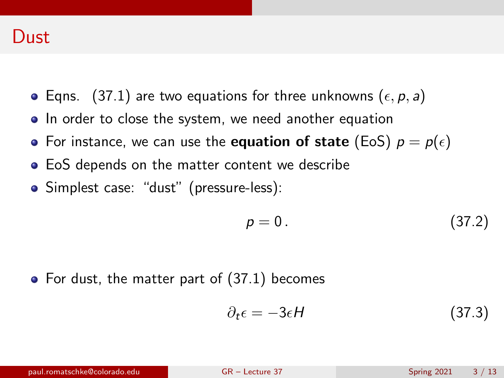#### Dust

- Eqns. [\(37.1\)](#page-1-0) are two equations for three unknowns ( $\epsilon$ , p, a)
- In order to close the system, we need another equation
- For instance, we can use the **equation of state** (EoS)  $p = p(\epsilon)$
- EoS depends on the matter content we describe
- Simplest case: "dust" (pressure-less):

$$
p = 0. \tag{37.2}
$$

 $\bullet$  For dust, the matter part of  $(37.1)$  becomes

$$
\partial_t \epsilon = -3\epsilon H \tag{37.3}
$$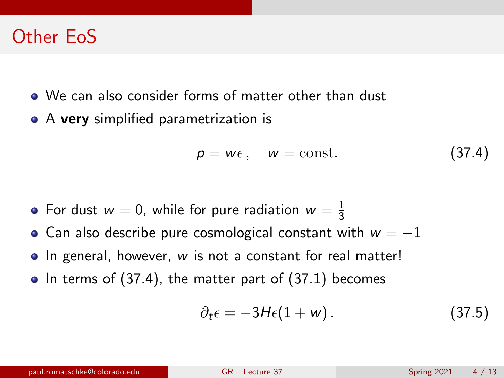### Other EoS

- We can also consider forms of matter other than dust
- A very simplified parametrization is

<span id="page-3-0"></span>
$$
p = w\epsilon, \quad w = \text{const.} \tag{37.4}
$$

- For dust  $w=0$ , while for pure radiation  $w=\frac{1}{3}$ 3
- Can also describe pure cosmological constant with  $w = -1$
- In general, however, w is not a constant for real matter!
- $\bullet$  In terms of [\(37.4\)](#page-3-0), the matter part of [\(37.1\)](#page-1-0) becomes

$$
\partial_t \epsilon = -3H\epsilon (1+w). \qquad (37.5)
$$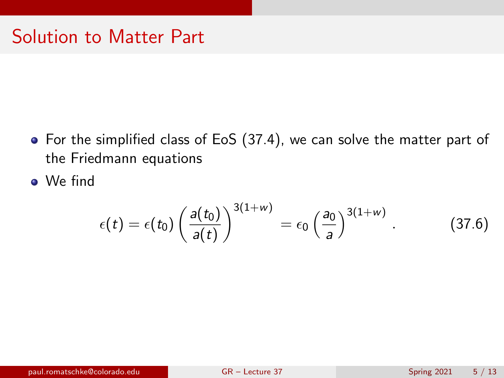- For the simplified class of EoS [\(37.4\)](#page-3-0), we can solve the matter part of the Friedmann equations
- We find

$$
\epsilon(t) = \epsilon(t_0) \left( \frac{a(t_0)}{a(t)} \right)^{3(1+w)} = \epsilon_0 \left( \frac{a_0}{a} \right)^{3(1+w)} . \tag{37.6}
$$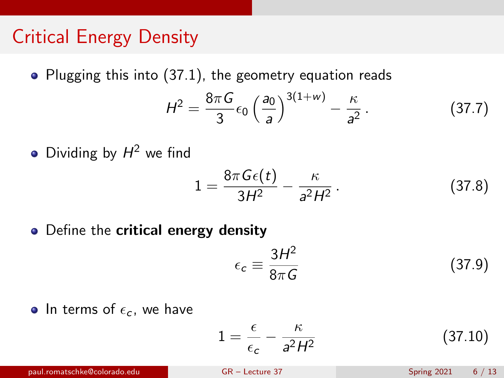# Critical Energy Density

 $\bullet$  Plugging this into [\(37.1\)](#page-1-0), the geometry equation reads

$$
H^2 = \frac{8\pi G}{3} \epsilon_0 \left(\frac{a_0}{a}\right)^{3(1+w)} - \frac{\kappa}{a^2} \,. \tag{37.7}
$$

Dividing by  $H^2$  we find

$$
1 = \frac{8\pi G\epsilon(t)}{3H^2} - \frac{\kappa}{a^2H^2}.
$$
 (37.8)

• Define the **critical energy density** 

$$
\epsilon_c \equiv \frac{3H^2}{8\pi G} \tag{37.9}
$$

• In terms of  $\epsilon_c$ , we have

$$
1 = \frac{\epsilon}{\epsilon_c} - \frac{\kappa}{a^2 H^2} \tag{37.10}
$$

paul.romatschke@colorado.edu [GR – Lecture 37](#page-0-0) Spring 2021 6 / 13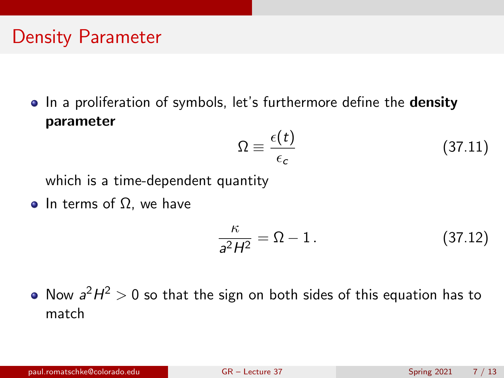# Density Parameter

• In a proliferation of symbols, let's furthermore define the **density** parameter

$$
\Omega \equiv \frac{\epsilon(t)}{\epsilon_c} \tag{37.11}
$$

which is a time-dependent quantity

• In terms of  $Ω$ , we have

$$
\frac{\kappa}{a^2H^2} = \Omega - 1. \tag{37.12}
$$

Now  $a^2H^2 > 0$  so that the sign on both sides of this equation has to match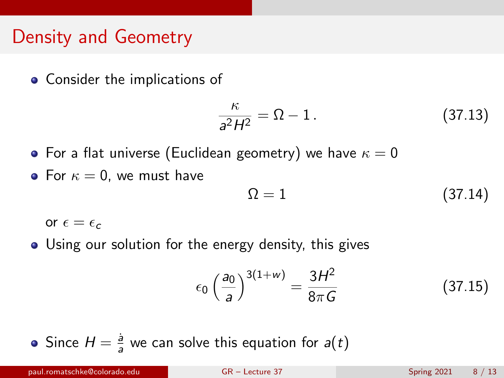## Density and Geometry

• Consider the implications of

$$
\frac{\kappa}{a^2 H^2} = \Omega - 1. \tag{37.13}
$$

- For a flat universe (Euclidean geometry) we have  $\kappa = 0$
- For  $\kappa = 0$ , we must have

<span id="page-7-0"></span>
$$
\Omega = 1 \tag{37.14}
$$

or  $\epsilon = \epsilon_c$ 

Using our solution for the energy density, this gives

$$
\epsilon_0 \left(\frac{a_0}{a}\right)^{3(1+w)} = \frac{3H^2}{8\pi G} \tag{37.15}
$$

Since  $H = \frac{5}{3}$  $\frac{a}{a}$  we can solve this equation for  $a(t)$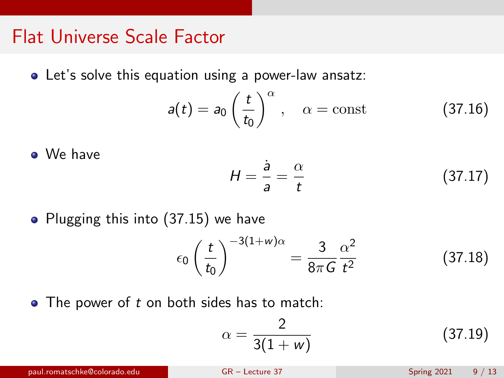#### Flat Universe Scale Factor

• Let's solve this equation using a power-law ansatz:

$$
a(t) = a_0 \left(\frac{t}{t_0}\right)^{\alpha}, \quad \alpha = \text{const}
$$
 (37.16)

• We have 
$$
H = \frac{\dot{a}}{a} = \frac{\alpha}{t}
$$
 (37.17)

 $\bullet$  Plugging this into [\(37.15\)](#page-7-0) we have

$$
\epsilon_0 \left(\frac{t}{t_0}\right)^{-3(1+w)\alpha} = \frac{3}{8\pi G} \frac{\alpha^2}{t^2} \tag{37.18}
$$

 $\bullet$  The power of  $t$  on both sides has to match:

$$
\alpha = \frac{2}{3(1+w)}\tag{37.19}
$$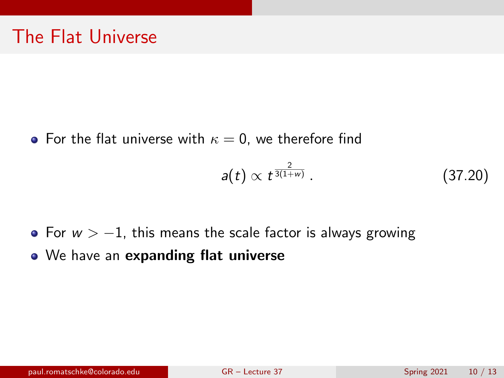• For the flat universe with  $\kappa = 0$ , we therefore find

$$
a(t) \propto t^{\frac{2}{3(1+w)}}\,. \tag{37.20}
$$

- For  $w > -1$ , this means the scale factor is always growing
- We have an expanding flat universe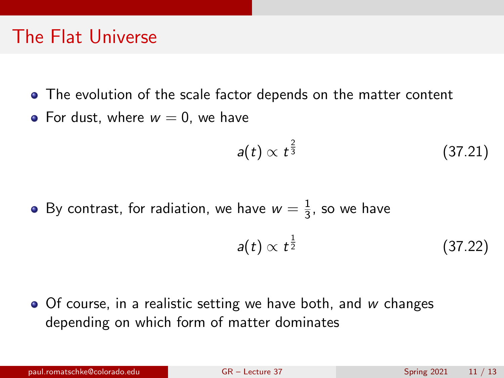### The Flat Universe

- The evolution of the scale factor depends on the matter content
- For dust, where  $w = 0$ , we have

$$
a(t) \propto t^{\frac{2}{3}} \tag{37.21}
$$

By contrast, for radiation, we have  $w=\frac{1}{3}$  $\frac{1}{3}$ , so we have

$$
a(t) \propto t^{\frac{1}{2}} \tag{37.22}
$$

 $\bullet$  Of course, in a realistic setting we have both, and w changes depending on which form of matter dominates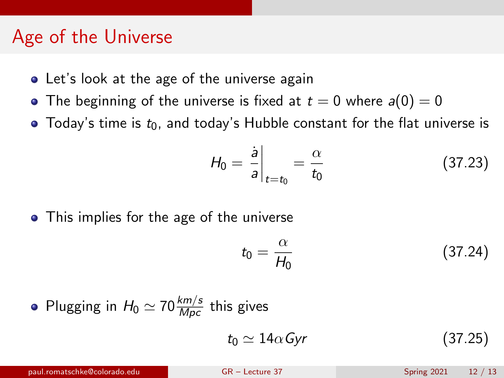### Age of the Universe

- Let's look at the age of the universe again
- The beginning of the universe is fixed at  $t = 0$  where  $a(0) = 0$
- Today's time is  $t_0$ , and today's Hubble constant for the flat universe is

$$
H_0 = \frac{\dot{a}}{a}\bigg|_{t=t_0} = \frac{\alpha}{t_0} \tag{37.23}
$$

• This implies for the age of the universe

$$
t_0 = \frac{\alpha}{H_0} \tag{37.24}
$$

• Plugging in 
$$
H_0 \simeq 70 \frac{\text{km/s}}{\text{Mpc}}
$$
 this gives

$$
t_0 \simeq 14\alpha \, \text{Gyr} \tag{37.25}
$$